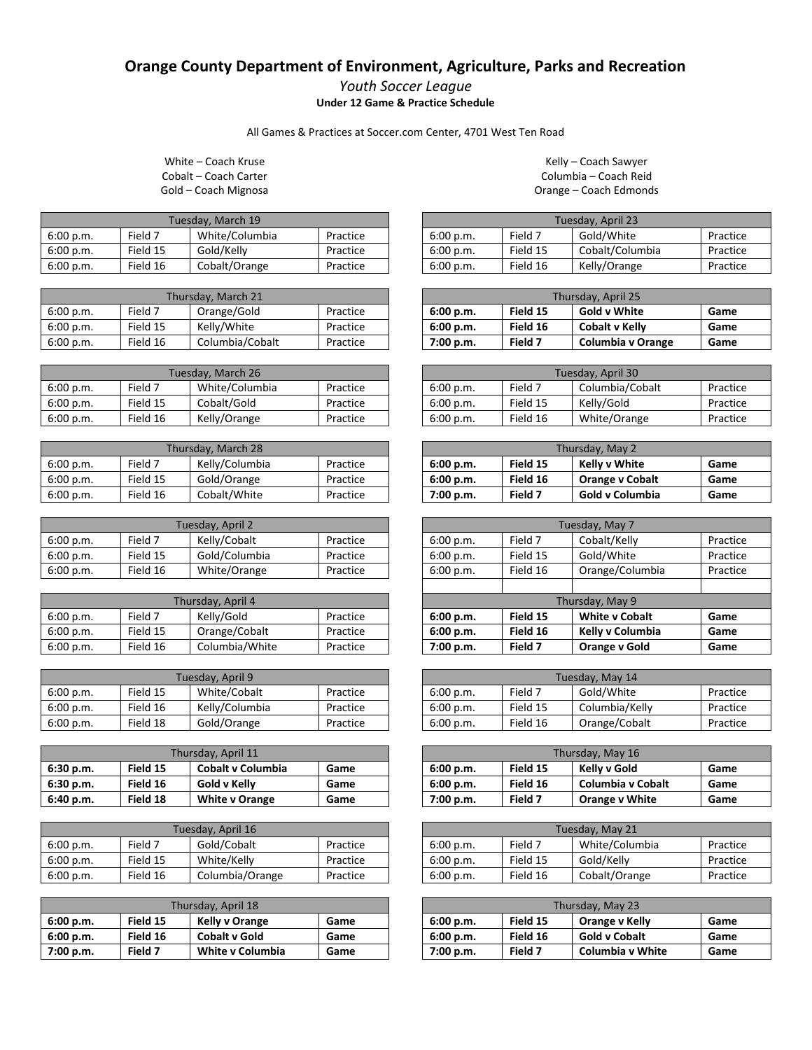## **Orange County Department of Environment, Agriculture, Parks and Recreation**

*Youth Soccer League* **Under 12 Game & Practice Schedule**

All Games & Practices at Soccer.com Center, 4701 West Ten Road

White – Coach Kruse Cobalt – Coach Carter Gold – Coach Mignosa

| Tuesday, March 19 |          |                |          |  |
|-------------------|----------|----------------|----------|--|
| 6:00 p.m.         | Field 7  | White/Columbia | Practice |  |
| 6:00 p.m.         | Field 15 | Gold/Kelly     | Practice |  |
| 6:00 p.m.         | Field 16 | Cobalt/Orange  | Practice |  |

| Thursday, March 21 |          |                 |          |  |
|--------------------|----------|-----------------|----------|--|
| 6:00 p.m.          | Field 7  | Orange/Gold     | Practice |  |
| 6:00 p.m.          | Field 15 | Kelly/White     | Practice |  |
| 6:00 p.m.          | Field 16 | Columbia/Cobalt | Practice |  |

| Tuesday, March 26 |          |                |          |  |
|-------------------|----------|----------------|----------|--|
| 6:00 p.m.         | Field 7  | White/Columbia | Practice |  |
| 6:00 p.m.         | Field 15 | Cobalt/Gold    | Practice |  |
| 6:00 p.m.         | Field 16 | Kelly/Orange   | Practice |  |

| Thursday, March 28 |          |                |          |
|--------------------|----------|----------------|----------|
| 6:00 p.m.          | Field 7  | Kelly/Columbia | Practice |
| 6:00 p.m.          | Field 15 | Gold/Orange    | Practice |
| 6:00 p.m.          | Field 16 | Cobalt/White   | Practice |

| Tuesday, April 2                                 |          |               |          |  |
|--------------------------------------------------|----------|---------------|----------|--|
| Kelly/Cobalt<br>Field 7<br>Practice<br>6:00 p.m. |          |               |          |  |
| 6:00 p.m.                                        | Field 15 | Gold/Columbia | Practice |  |
| 6:00 p.m.                                        | Field 16 | White/Orange  | Practice |  |

| Thursday, April 4 |          |                |          |  |
|-------------------|----------|----------------|----------|--|
| 6:00 p.m.         | Field 7  | Kelly/Gold     | Practice |  |
| 6:00 p.m.         | Field 15 | Orange/Cobalt  | Practice |  |
| 6:00 p.m.         | Field 16 | Columbia/White | Practice |  |

| Tuesday, April 9                                  |          |                |          |  |
|---------------------------------------------------|----------|----------------|----------|--|
| White/Cobalt<br>Field 15<br>6:00 p.m.<br>Practice |          |                |          |  |
| 6:00 p.m.                                         | Field 16 | Kelly/Columbia | Practice |  |
| 6:00 p.m.                                         | Field 18 | Gold/Orange    | Practice |  |

| Thursday, April 11                                        |          |                       |      |  |
|-----------------------------------------------------------|----------|-----------------------|------|--|
| Field 15<br><b>Cobalt y Columbia</b><br>6:30 p.m.<br>Game |          |                       |      |  |
| 6:30 p.m.                                                 | Field 16 | Gold v Kelly          | Game |  |
| 6:40 p.m.                                                 | Field 18 | <b>White v Orange</b> | Game |  |

| Tuesday, April 16                                    |          |             |          |  |
|------------------------------------------------------|----------|-------------|----------|--|
| Gold/Cobalt<br>Field 7<br>Practice<br>6:00 p.m.      |          |             |          |  |
| 6:00 p.m.                                            | Field 15 | White/Kelly | Practice |  |
| Columbia/Orange<br>Field 16<br>6:00 p.m.<br>Practice |          |             |          |  |

| Thursday, April 18                                     |          |                         |      |  |
|--------------------------------------------------------|----------|-------------------------|------|--|
| Field 15<br><b>Kelly v Orange</b><br>6:00 p.m.<br>Game |          |                         |      |  |
| 6:00 p.m.                                              | Field 16 | <b>Cobalt v Gold</b>    | Game |  |
| 7:00 p.m.                                              | Field 7  | <b>White y Columbia</b> | Game |  |

Kelly – Coach Sawyer Columbia – Coach Reid Orange – Coach Edmonds

| Tuesday, April 23                                 |          |                 |          |  |
|---------------------------------------------------|----------|-----------------|----------|--|
| Gold/White<br>Field 7<br>Practice<br>6:00 p.m.    |          |                 |          |  |
| 6:00 p.m.                                         | Field 15 | Cobalt/Columbia | Practice |  |
| Kelly/Orange<br>Field 16<br>6:00 p.m.<br>Practice |          |                 |          |  |

| Thursday, April 25 |          |                     |      |  |
|--------------------|----------|---------------------|------|--|
| 6:00 p.m.          | Field 15 | <b>Gold v White</b> | Game |  |
| 6:00 p.m.          | Field 16 | Cobalt v Kelly      | Game |  |
| 7:00 p.m.          | Field 7  | Columbia v Orange   | Game |  |

| Tuesday, April 30 |          |                 |          |
|-------------------|----------|-----------------|----------|
| 6:00 p.m.         | Field 7  | Columbia/Cobalt | Practice |
| 6:00 p.m.         | Field 15 | Kelly/Gold      | Practice |
| 6:00 p.m.         | Field 16 | White/Orange    | Practice |

| Thursday, May 2 |          |                        |      |
|-----------------|----------|------------------------|------|
| 6:00 p.m.       | Field 15 | <b>Kelly v White</b>   | Game |
| 6:00 p.m.       | Field 16 | <b>Orange v Cobalt</b> | Game |
| 7:00 p.m.       | Field 7  | <b>Gold v Columbia</b> | Game |

| Tuesday, May 7  |          |                       |          |
|-----------------|----------|-----------------------|----------|
| 6:00 p.m.       | Field 7  | Cobalt/Kelly          | Practice |
| 6:00 p.m.       | Field 15 | Gold/White            | Practice |
| 6:00 p.m.       | Field 16 | Orange/Columbia       | Practice |
|                 |          |                       |          |
| Thursday, May 9 |          |                       |          |
| 6:00 p.m.       | Field 15 | <b>White v Cobalt</b> | Game     |
| 6:00 p.m.       | Field 16 | Kelly v Columbia      | Game     |
| 7:00 p.m.       | Field 7  | Orange v Gold         | Game     |

| Tuesday, May 14 |          |                |          |
|-----------------|----------|----------------|----------|
| 6:00 p.m.       | Field 7  | Gold/White     | Practice |
| 6:00 p.m.       | Field 15 | Columbia/Kelly | Practice |
| 6:00 p.m.       | Field 16 | Orange/Cobalt  | Practice |

| Thursday, May 16 |          |                          |      |
|------------------|----------|--------------------------|------|
| 6:00 p.m.        | Field 15 | Kelly v Gold             | Game |
| 6:00 p.m.        | Field 16 | <b>Columbia y Cobalt</b> | Game |
| 7:00 p.m.        | Field 7  | Orange v White           | Game |

| Tuesday, May 21 |          |                |          |
|-----------------|----------|----------------|----------|
| 6:00 p.m.       | Field 7  | White/Columbia | Practice |
| 6:00 p.m.       | Field 15 | Gold/Kelly     | Practice |
| 6:00 p.m.       | Field 16 | Cobalt/Orange  | Practice |

| Thursday, May 23 |          |                      |      |
|------------------|----------|----------------------|------|
| 6:00 p.m.        | Field 15 | Orange v Kelly       | Game |
| 6:00 p.m.        | Field 16 | <b>Gold v Cobalt</b> | Game |
| 7:00 p.m.        | Field 7  | Columbia v White     | Game |